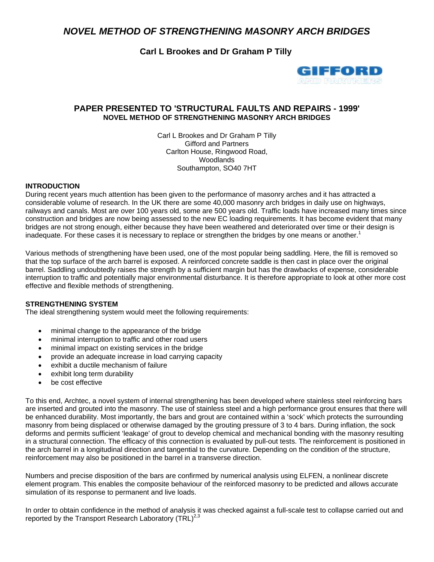# *NOVEL METHOD OF STRENGTHENING MASONRY ARCH BRIDGES*

**Carl L Brookes and Dr Graham P Tilly**



## **PAPER PRESENTED TO 'STRUCTURAL FAULTS AND REPAIRS - 1999' NOVEL METHOD OF STRENGTHENING MASONRY ARCH BRIDGES**

Carl L Brookes and Dr Graham P Tilly Gifford and Partners Carlton House, Ringwood Road, Woodlands Southampton, SO40 7HT

#### **INTRODUCTION**

During recent years much attention has been given to the performance of masonry arches and it has attracted a considerable volume of research. In the UK there are some 40,000 masonry arch bridges in daily use on highways, railways and canals. Most are over 100 years old, some are 500 years old. Traffic loads have increased many times since construction and bridges are now being assessed to the new EC loading requirements. It has become evident that many bridges are not strong enough, either because they have been weathered and deteriorated over time or their design is inadequate. For these cases it is necessary to replace or strengthen the bridges by one means or another.<sup>1</sup>

Various methods of strengthening have been used, one of the most popular being saddling. Here, the fill is removed so that the top surface of the arch barrel is exposed. A reinforced concrete saddle is then cast in place over the original barrel. Saddling undoubtedly raises the strength by a sufficient margin but has the drawbacks of expense, considerable interruption to traffic and potentially major environmental disturbance. It is therefore appropriate to look at other more cost effective and flexible methods of strengthening.

#### **STRENGTHENING SYSTEM**

The ideal strengthening system would meet the following requirements:

- minimal change to the appearance of the bridge
- minimal interruption to traffic and other road users
- minimal impact on existing services in the bridge
- provide an adequate increase in load carrying capacity
- exhibit a ductile mechanism of failure
- exhibit long term durability
- be cost effective

To this end, Archtec, a novel system of internal strengthening has been developed where stainless steel reinforcing bars are inserted and grouted into the masonry. The use of stainless steel and a high performance grout ensures that there will be enhanced durability. Most importantly, the bars and grout are contained within a 'sock' which protects the surrounding masonry from being displaced or otherwise damaged by the grouting pressure of 3 to 4 bars. During inflation, the sock deforms and permits sufficient 'leakage' of grout to develop chemical and mechanical bonding with the masonry resulting in a structural connection. The efficacy of this connection is evaluated by pull-out tests. The reinforcement is positioned in the arch barrel in a longitudinal direction and tangential to the curvature. Depending on the condition of the structure, reinforcement may also be positioned in the barrel in a transverse direction.

Numbers and precise disposition of the bars are confirmed by numerical analysis using ELFEN, a nonlinear discrete element program. This enables the composite behaviour of the reinforced masonry to be predicted and allows accurate simulation of its response to permanent and live loads.

In order to obtain confidence in the method of analysis it was checked against a full-scale test to collapse carried out and reported by the Transport Research Laboratory (TRL)<sup>2,3</sup>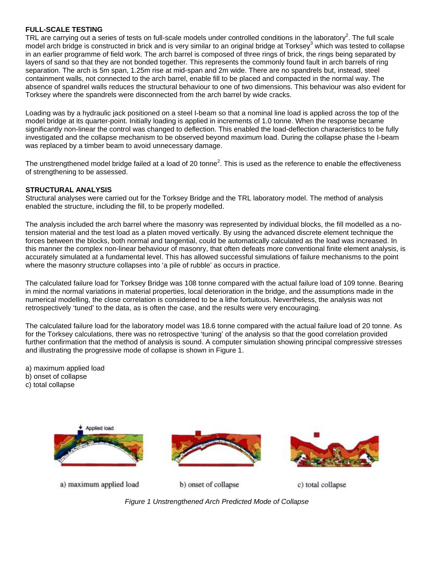#### **FULL-SCALE TESTING**

TRL are carrying out a series of tests on full-scale models under controlled conditions in the laboratory<sup>2</sup>. The full scale model arch bridge is constructed in brick and is very similar to an original bridge at Torksey<sup>3</sup> which was tested to collapse in an earlier programme of field work. The arch barrel is composed of three rings of brick, the rings being separated by layers of sand so that they are not bonded together. This represents the commonly found fault in arch barrels of ring separation. The arch is 5m span, 1.25m rise at mid-span and 2m wide. There are no spandrels but, instead, steel containment walls, not connected to the arch barrel, enable fill to be placed and compacted in the normal way. The absence of spandrel walls reduces the structural behaviour to one of two dimensions. This behaviour was also evident for Torksey where the spandrels were disconnected from the arch barrel by wide cracks.

Loading was by a hydraulic jack positioned on a steel I-beam so that a nominal line load is applied across the top of the model bridge at its quarter-point. Initially loading is applied in increments of 1.0 tonne. When the response became significantly non-linear the control was changed to deflection. This enabled the load-deflection characteristics to be fully investigated and the collapse mechanism to be observed beyond maximum load. During the collapse phase the I-beam was replaced by a timber beam to avoid unnecessary damage.

The unstrengthened model bridge failed at a load of 20 tonne<sup>2</sup>. This is used as the reference to enable the effectiveness of strengthening to be assessed.

#### **STRUCTURAL ANALYSIS**

Structural analyses were carried out for the Torksey Bridge and the TRL laboratory model. The method of analysis enabled the structure, including the fill, to be properly modelled.

The analysis included the arch barrel where the masonry was represented by individual blocks, the fill modelled as a notension material and the test load as a platen moved vertically. By using the advanced discrete element technique the forces between the blocks, both normal and tangential, could be automatically calculated as the load was increased. In this manner the complex non-linear behaviour of masonry, that often defeats more conventional finite element analysis, is accurately simulated at a fundamental level. This has allowed successful simulations of failure mechanisms to the point where the masonry structure collapses into 'a pile of rubble' as occurs in practice.

The calculated failure load for Torksey Bridge was 108 tonne compared with the actual failure load of 109 tonne. Bearing in mind the normal variations in material properties, local deterioration in the bridge, and the assumptions made in the numerical modelling, the close correlation is considered to be a lithe fortuitous. Nevertheless, the analysis was not retrospectively 'tuned' to the data, as is often the case, and the results were very encouraging.

The calculated failure load for the laboratory model was 18.6 tonne compared with the actual failure load of 20 tonne. As for the Torksey calculations, there was no retrospective 'tuning' of the analysis so that the good correlation provided further confirmation that the method of analysis is sound. A computer simulation showing principal compressive stresses and illustrating the progressive mode of collapse is shown in Figure 1.

a) maximum applied load

b) onset of collapse

c) total collapse







a) maximum applied load

b) onset of collapse

c) total collapse

*Figure 1 Unstrengthened Arch Predicted Mode of Collapse*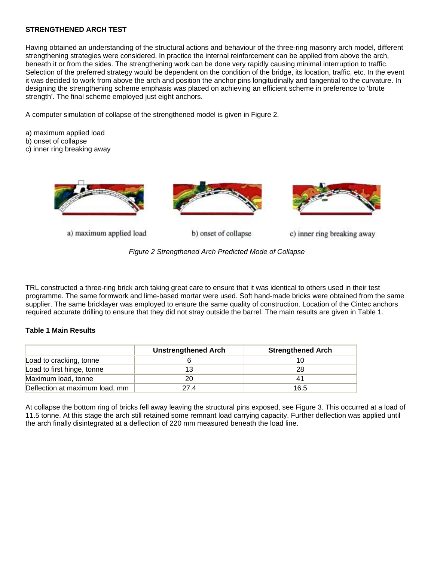#### **STRENGTHENED ARCH TEST**

Having obtained an understanding of the structural actions and behaviour of the three-ring masonry arch model, different strengthening strategies were considered. In practice the internal reinforcement can be applied from above the arch, beneath it or from the sides. The strengthening work can be done very rapidly causing minimal interruption to traffic. Selection of the preferred strategy would be dependent on the condition of the bridge, its location, traffic, etc. In the event it was decided to work from above the arch and position the anchor pins longitudinally and tangential to the curvature. In designing the strengthening scheme emphasis was placed on achieving an efficient scheme in preference to 'brute strength'. The final scheme employed just eight anchors.

A computer simulation of collapse of the strengthened model is given in Figure 2.

- a) maximum applied load
- b) onset of collapse
- c) inner ring breaking away



a) maximum applied load

b) onset of collapse



c) inner ring breaking away

*Figure 2 Strengthened Arch Predicted Mode of Collapse*

TRL constructed a three-ring brick arch taking great care to ensure that it was identical to others used in their test programme. The same formwork and lime-based mortar were used. Soft hand-made bricks were obtained from the same supplier. The same bricklayer was employed to ensure the same quality of construction. Location of the Cintec anchors required accurate drilling to ensure that they did not stray outside the barrel. The main results are given in Table 1.

#### **Table 1 Main Results**

|                                | <b>Unstrengthened Arch</b> | <b>Strengthened Arch</b> |
|--------------------------------|----------------------------|--------------------------|
| Load to cracking, tonne        |                            |                          |
| Load to first hinge, tonne     |                            | 28                       |
| Maximum load, tonne            | 20                         | 41                       |
| Deflection at maximum load, mm | 27 4                       | 16.5                     |

At collapse the bottom ring of bricks fell away leaving the structural pins exposed, see Figure 3. This occurred at a load of 11.5 tonne. At this stage the arch still retained some remnant load carrying capacity. Further deflection was applied until the arch finally disintegrated at a deflection of 220 mm measured beneath the load line.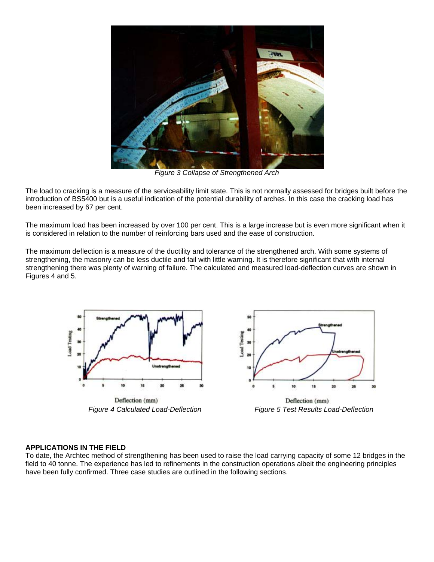

*Figure 3 Collapse of Strengthened Arch*

The load to cracking is a measure of the serviceability limit state. This is not normally assessed for bridges built before the introduction of BS5400 but is a useful indication of the potential durability of arches. In this case the cracking load has been increased by 67 per cent.

The maximum load has been increased by over 100 per cent. This is a large increase but is even more significant when it is considered in relation to the number of reinforcing bars used and the ease of construction.

The maximum deflection is a measure of the ductility and tolerance of the strengthened arch. With some systems of strengthening, the masonry can be less ductile and fail with little warning. It is therefore significant that with internal strengthening there was plenty of warning of failure. The calculated and measured load-deflection curves are shown in Figures 4 and 5.





Deflection (mm) *Figure 4 Calculated Load-Deflection Figure 5 Test Results Load-Deflection*

### **APPLICATIONS IN THE FIELD**

To date, the Archtec method of strengthening has been used to raise the load carrying capacity of some 12 bridges in the field to 40 tonne. The experience has led to refinements in the construction operations albeit the engineering principles have been fully confirmed. Three case studies are outlined in the following sections.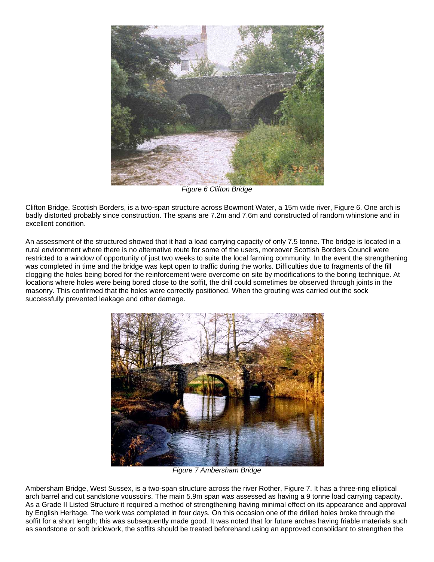

*Figure 6 Clifton Bridge*

Clifton Bridge, Scottish Borders, is a two-span structure across Bowmont Water, a 15m wide river, Figure 6. One arch is badly distorted probably since construction. The spans are 7.2m and 7.6m and constructed of random whinstone and in excellent condition.

An assessment of the structured showed that it had a load carrying capacity of only 7.5 tonne. The bridge is located in a rural environment where there is no alternative route for some of the users, moreover Scottish Borders Council were restricted to a window of opportunity of just two weeks to suite the local farming community. In the event the strengthening was completed in time and the bridge was kept open to traffic during the works. Difficulties due to fragments of the fill clogging the holes being bored for the reinforcement were overcome on site by modifications to the boring technique. At locations where holes were being bored close to the soffit, the drill could sometimes be observed through joints in the masonry. This confirmed that the holes were correctly positioned. When the grouting was carried out the sock successfully prevented leakage and other damage.



*Figure 7 Ambersham Bridge*

Ambersham Bridge, West Sussex, is a two-span structure across the river Rother, Figure 7. It has a three-ring elliptical arch barrel and cut sandstone voussoirs. The main 5.9m span was assessed as having a 9 tonne load carrying capacity. As a Grade II Listed Structure it required a method of strengthening having minimal effect on its appearance and approval by English Heritage. The work was completed in four days. On this occasion one of the drilled holes broke through the soffit for a short length; this was subsequently made good. It was noted that for future arches having friable materials such as sandstone or soft brickwork, the soffits should be treated beforehand using an approved consolidant to strengthen the